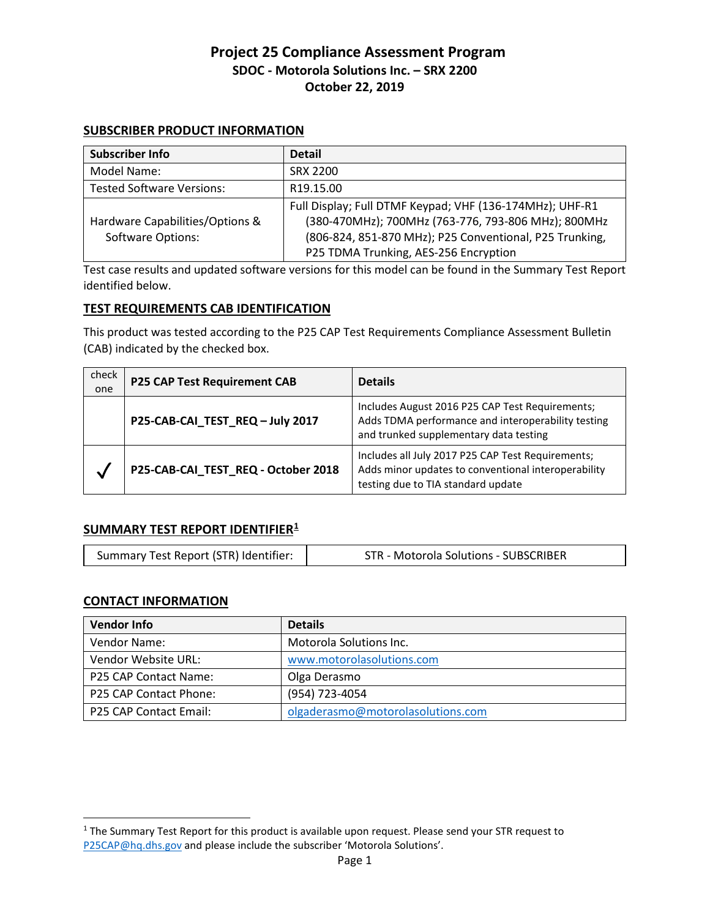#### **SUBSCRIBER PRODUCT INFORMATION**

| Subscriber Info                                             | <b>Detail</b>                                                                                                                                                                                                       |
|-------------------------------------------------------------|---------------------------------------------------------------------------------------------------------------------------------------------------------------------------------------------------------------------|
| Model Name:                                                 | <b>SRX 2200</b>                                                                                                                                                                                                     |
| <b>Tested Software Versions:</b>                            | R <sub>19.15.00</sub>                                                                                                                                                                                               |
| Hardware Capabilities/Options &<br><b>Software Options:</b> | Full Display; Full DTMF Keypad; VHF (136-174MHz); UHF-R1<br>(380-470MHz); 700MHz (763-776, 793-806 MHz); 800MHz<br>(806-824, 851-870 MHz); P25 Conventional, P25 Trunking,<br>P25 TDMA Trunking, AES-256 Encryption |

Test case results and updated software versions for this model can be found in the Summary Test Report identified below.

#### **TEST REQUIREMENTS CAB IDENTIFICATION**

This product was tested according to the P25 CAP Test Requirements Compliance Assessment Bulletin (CAB) indicated by the checked box.

| check<br>one | <b>P25 CAP Test Requirement CAB</b> | <b>Details</b>                                                                                                                                  |
|--------------|-------------------------------------|-------------------------------------------------------------------------------------------------------------------------------------------------|
|              | P25-CAB-CAI_TEST_REQ - July 2017    | Includes August 2016 P25 CAP Test Requirements;<br>Adds TDMA performance and interoperability testing<br>and trunked supplementary data testing |
| $\checkmark$ | P25-CAB-CAI_TEST_REQ - October 2018 | Includes all July 2017 P25 CAP Test Requirements;<br>Adds minor updates to conventional interoperability<br>testing due to TIA standard update  |

### **SUMMARY TEST REPORT IDENTIFIER[1](#page-0-0)**

| Summary Test Report (STR) Identifier:<br>STR - Motorola Solutions - SUBSCRIBER |
|--------------------------------------------------------------------------------|
|--------------------------------------------------------------------------------|

#### **CONTACT INFORMATION**

 $\overline{a}$ 

| <b>Vendor Info</b>     | <b>Details</b>                    |
|------------------------|-----------------------------------|
| Vendor Name:           | Motorola Solutions Inc.           |
| Vendor Website URL:    | www.motorolasolutions.com         |
| P25 CAP Contact Name:  | Olga Derasmo                      |
| P25 CAP Contact Phone: | (954) 723-4054                    |
| P25 CAP Contact Email: | olgaderasmo@motorolasolutions.com |

<span id="page-0-0"></span><sup>&</sup>lt;sup>1</sup> The Summary Test Report for this product is available upon request. Please send your STR request to [P25CAP@hq.dhs.gov](mailto:P25CAP@hq.dhs.gov) and please include the subscriber 'Motorola Solutions'.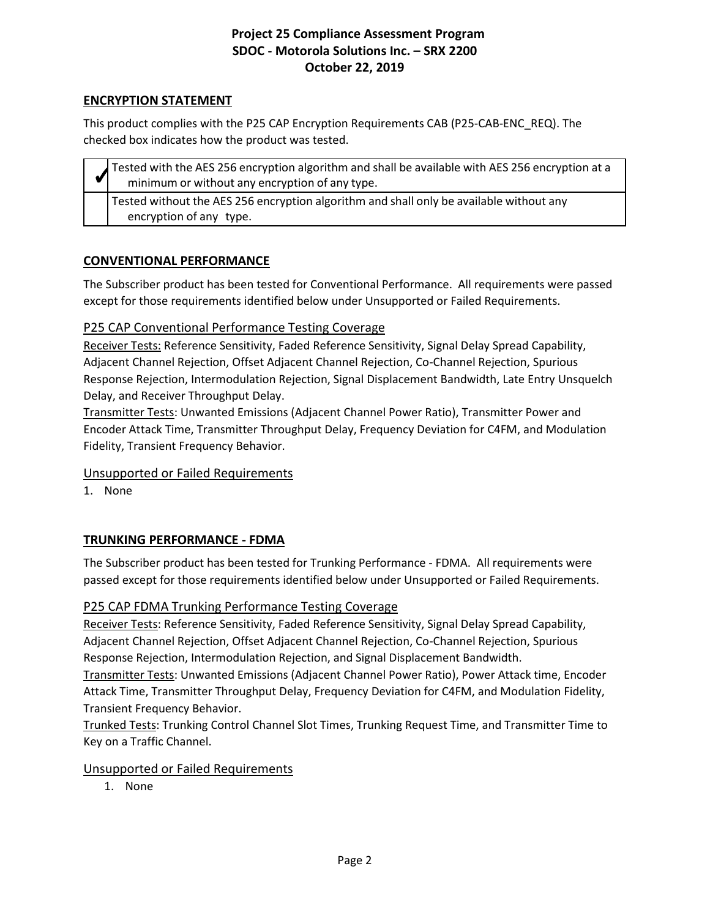### **ENCRYPTION STATEMENT**

This product complies with the P25 CAP Encryption Requirements CAB (P25-CAB-ENC\_REQ). The checked box indicates how the product was tested.

| Tested with the AES 256 encryption algorithm and shall be available with AES 256 encryption at a<br>minimum or without any encryption of any type. |
|----------------------------------------------------------------------------------------------------------------------------------------------------|
| Tested without the AES 256 encryption algorithm and shall only be available without any<br>encryption of any type.                                 |
|                                                                                                                                                    |

### **CONVENTIONAL PERFORMANCE**

The Subscriber product has been tested for Conventional Performance. All requirements were passed except for those requirements identified below under Unsupported or Failed Requirements.

### P25 CAP Conventional Performance Testing Coverage

Receiver Tests: Reference Sensitivity, Faded Reference Sensitivity, Signal Delay Spread Capability, Adjacent Channel Rejection, Offset Adjacent Channel Rejection, Co-Channel Rejection, Spurious Response Rejection, Intermodulation Rejection, Signal Displacement Bandwidth, Late Entry Unsquelch Delay, and Receiver Throughput Delay.

Transmitter Tests: Unwanted Emissions (Adjacent Channel Power Ratio), Transmitter Power and Encoder Attack Time, Transmitter Throughput Delay, Frequency Deviation for C4FM, and Modulation Fidelity, Transient Frequency Behavior.

### Unsupported or Failed Requirements

1. None

# **TRUNKING PERFORMANCE - FDMA**

The Subscriber product has been tested for Trunking Performance - FDMA. All requirements were passed except for those requirements identified below under Unsupported or Failed Requirements.

### P25 CAP FDMA Trunking Performance Testing Coverage

Receiver Tests: Reference Sensitivity, Faded Reference Sensitivity, Signal Delay Spread Capability, Adjacent Channel Rejection, Offset Adjacent Channel Rejection, Co-Channel Rejection, Spurious Response Rejection, Intermodulation Rejection, and Signal Displacement Bandwidth.

Transmitter Tests: Unwanted Emissions (Adjacent Channel Power Ratio), Power Attack time, Encoder Attack Time, Transmitter Throughput Delay, Frequency Deviation for C4FM, and Modulation Fidelity, Transient Frequency Behavior.

Trunked Tests: Trunking Control Channel Slot Times, Trunking Request Time, and Transmitter Time to Key on a Traffic Channel.

### Unsupported or Failed Requirements

1. None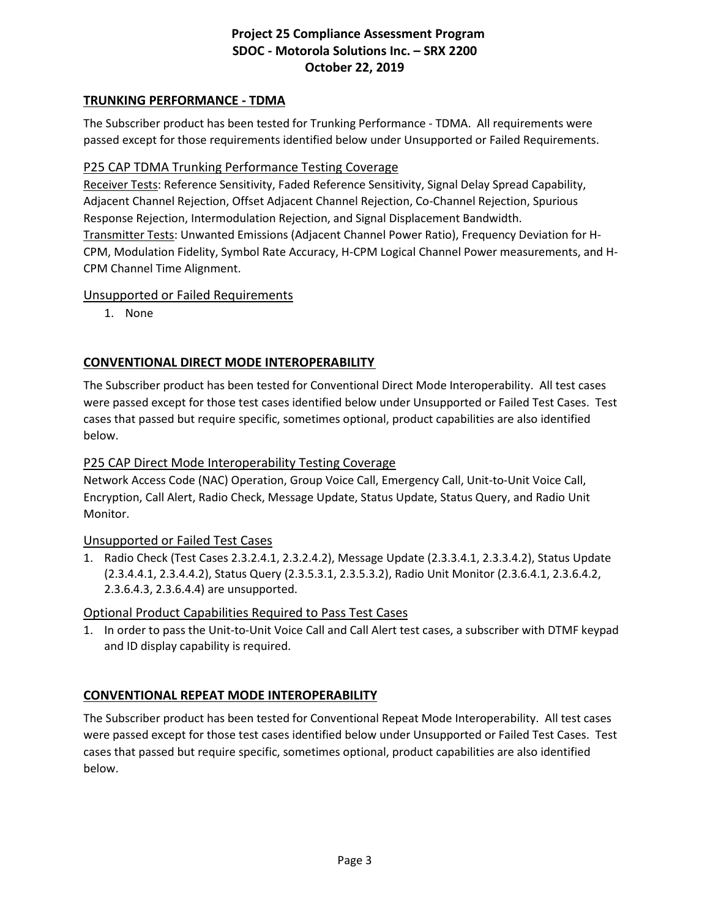### **TRUNKING PERFORMANCE - TDMA**

The Subscriber product has been tested for Trunking Performance - TDMA. All requirements were passed except for those requirements identified below under Unsupported or Failed Requirements.

### P25 CAP TDMA Trunking Performance Testing Coverage

Receiver Tests: Reference Sensitivity, Faded Reference Sensitivity, Signal Delay Spread Capability, Adjacent Channel Rejection, Offset Adjacent Channel Rejection, Co-Channel Rejection, Spurious Response Rejection, Intermodulation Rejection, and Signal Displacement Bandwidth. Transmitter Tests: Unwanted Emissions (Adjacent Channel Power Ratio), Frequency Deviation for H-CPM, Modulation Fidelity, Symbol Rate Accuracy, H-CPM Logical Channel Power measurements, and H-CPM Channel Time Alignment.

### Unsupported or Failed Requirements

1. None

### **CONVENTIONAL DIRECT MODE INTEROPERABILITY**

The Subscriber product has been tested for Conventional Direct Mode Interoperability. All test cases were passed except for those test cases identified below under Unsupported or Failed Test Cases. Test cases that passed but require specific, sometimes optional, product capabilities are also identified below.

### P25 CAP Direct Mode Interoperability Testing Coverage

Network Access Code (NAC) Operation, Group Voice Call, Emergency Call, Unit-to-Unit Voice Call, Encryption, Call Alert, Radio Check, Message Update, Status Update, Status Query, and Radio Unit Monitor.

### Unsupported or Failed Test Cases

1. Radio Check (Test Cases 2.3.2.4.1, 2.3.2.4.2), Message Update (2.3.3.4.1, 2.3.3.4.2), Status Update (2.3.4.4.1, 2.3.4.4.2), Status Query (2.3.5.3.1, 2.3.5.3.2), Radio Unit Monitor (2.3.6.4.1, 2.3.6.4.2, 2.3.6.4.3, 2.3.6.4.4) are unsupported.

### Optional Product Capabilities Required to Pass Test Cases

1. In order to pass the Unit-to-Unit Voice Call and Call Alert test cases, a subscriber with DTMF keypad and ID display capability is required.

### **CONVENTIONAL REPEAT MODE INTEROPERABILITY**

The Subscriber product has been tested for Conventional Repeat Mode Interoperability. All test cases were passed except for those test cases identified below under Unsupported or Failed Test Cases. Test cases that passed but require specific, sometimes optional, product capabilities are also identified below.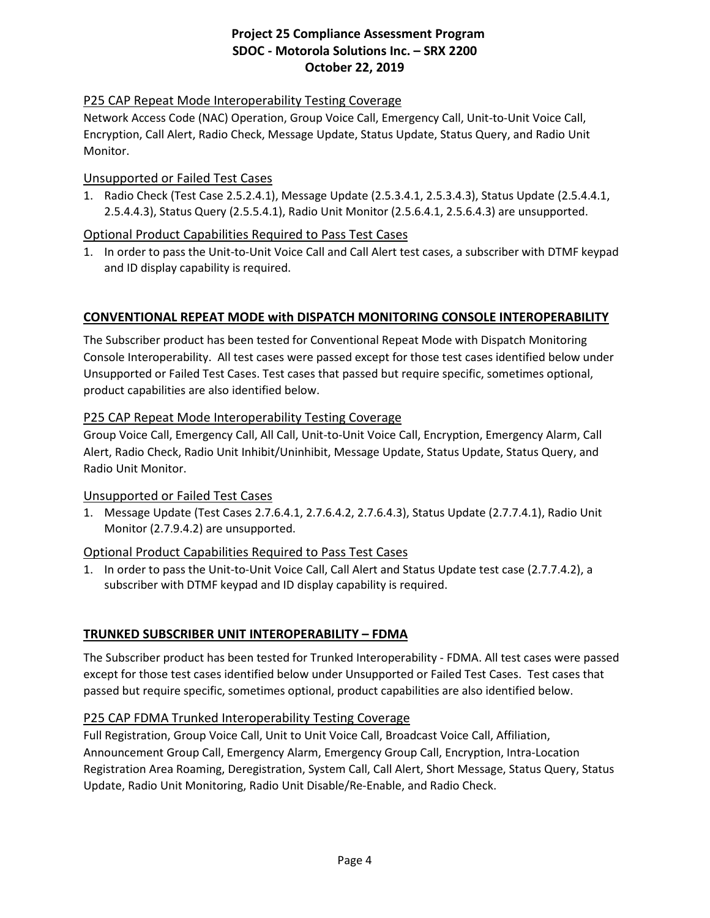### P25 CAP Repeat Mode Interoperability Testing Coverage

Network Access Code (NAC) Operation, Group Voice Call, Emergency Call, Unit-to-Unit Voice Call, Encryption, Call Alert, Radio Check, Message Update, Status Update, Status Query, and Radio Unit Monitor.

### Unsupported or Failed Test Cases

1. Radio Check (Test Case 2.5.2.4.1), Message Update (2.5.3.4.1, 2.5.3.4.3), Status Update (2.5.4.4.1, 2.5.4.4.3), Status Query (2.5.5.4.1), Radio Unit Monitor (2.5.6.4.1, 2.5.6.4.3) are unsupported.

### Optional Product Capabilities Required to Pass Test Cases

1. In order to pass the Unit-to-Unit Voice Call and Call Alert test cases, a subscriber with DTMF keypad and ID display capability is required.

### **CONVENTIONAL REPEAT MODE with DISPATCH MONITORING CONSOLE INTEROPERABILITY**

The Subscriber product has been tested for Conventional Repeat Mode with Dispatch Monitoring Console Interoperability. All test cases were passed except for those test cases identified below under Unsupported or Failed Test Cases. Test cases that passed but require specific, sometimes optional, product capabilities are also identified below.

### P25 CAP Repeat Mode Interoperability Testing Coverage

Group Voice Call, Emergency Call, All Call, Unit-to-Unit Voice Call, Encryption, Emergency Alarm, Call Alert, Radio Check, Radio Unit Inhibit/Uninhibit, Message Update, Status Update, Status Query, and Radio Unit Monitor.

### Unsupported or Failed Test Cases

1. Message Update (Test Cases 2.7.6.4.1, 2.7.6.4.2, 2.7.6.4.3), Status Update (2.7.7.4.1), Radio Unit Monitor (2.7.9.4.2) are unsupported.

### Optional Product Capabilities Required to Pass Test Cases

1. In order to pass the Unit-to-Unit Voice Call, Call Alert and Status Update test case (2.7.7.4.2), a subscriber with DTMF keypad and ID display capability is required.

# **TRUNKED SUBSCRIBER UNIT INTEROPERABILITY – FDMA**

The Subscriber product has been tested for Trunked Interoperability - FDMA. All test cases were passed except for those test cases identified below under Unsupported or Failed Test Cases. Test cases that passed but require specific, sometimes optional, product capabilities are also identified below.

### P25 CAP FDMA Trunked Interoperability Testing Coverage

Full Registration, Group Voice Call, Unit to Unit Voice Call, Broadcast Voice Call, Affiliation, Announcement Group Call, Emergency Alarm, Emergency Group Call, Encryption, Intra-Location Registration Area Roaming, Deregistration, System Call, Call Alert, Short Message, Status Query, Status Update, Radio Unit Monitoring, Radio Unit Disable/Re-Enable, and Radio Check.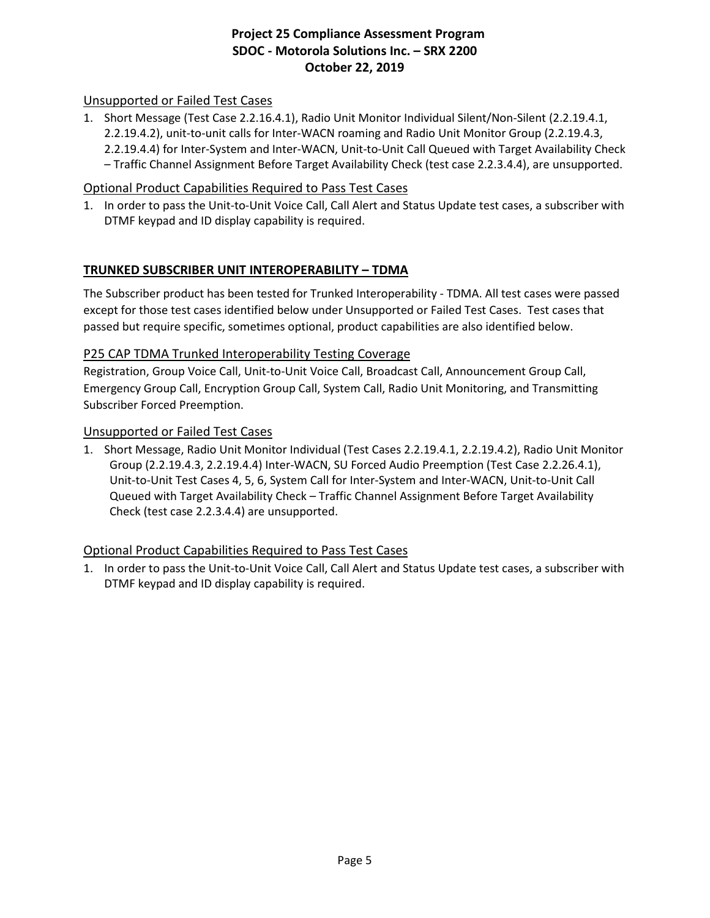### Unsupported or Failed Test Cases

1. Short Message (Test Case 2.2.16.4.1), Radio Unit Monitor Individual Silent/Non-Silent (2.2.19.4.1, 2.2.19.4.2), unit-to-unit calls for Inter-WACN roaming and Radio Unit Monitor Group (2.2.19.4.3, 2.2.19.4.4) for Inter-System and Inter-WACN, Unit-to-Unit Call Queued with Target Availability Check – Traffic Channel Assignment Before Target Availability Check (test case 2.2.3.4.4), are unsupported.

### Optional Product Capabilities Required to Pass Test Cases

1. In order to pass the Unit-to-Unit Voice Call, Call Alert and Status Update test cases, a subscriber with DTMF keypad and ID display capability is required.

### **TRUNKED SUBSCRIBER UNIT INTEROPERABILITY – TDMA**

The Subscriber product has been tested for Trunked Interoperability - TDMA. All test cases were passed except for those test cases identified below under Unsupported or Failed Test Cases. Test cases that passed but require specific, sometimes optional, product capabilities are also identified below.

### P25 CAP TDMA Trunked Interoperability Testing Coverage

Registration, Group Voice Call, Unit-to-Unit Voice Call, Broadcast Call, Announcement Group Call, Emergency Group Call, Encryption Group Call, System Call, Radio Unit Monitoring, and Transmitting Subscriber Forced Preemption.

#### Unsupported or Failed Test Cases

1. Short Message, Radio Unit Monitor Individual (Test Cases 2.2.19.4.1, 2.2.19.4.2), Radio Unit Monitor Group (2.2.19.4.3, 2.2.19.4.4) Inter-WACN, SU Forced Audio Preemption (Test Case 2.2.26.4.1), Unit-to-Unit Test Cases 4, 5, 6, System Call for Inter-System and Inter-WACN, Unit-to-Unit Call Queued with Target Availability Check – Traffic Channel Assignment Before Target Availability Check (test case 2.2.3.4.4) are unsupported.

### Optional Product Capabilities Required to Pass Test Cases

1. In order to pass the Unit-to-Unit Voice Call, Call Alert and Status Update test cases, a subscriber with DTMF keypad and ID display capability is required.